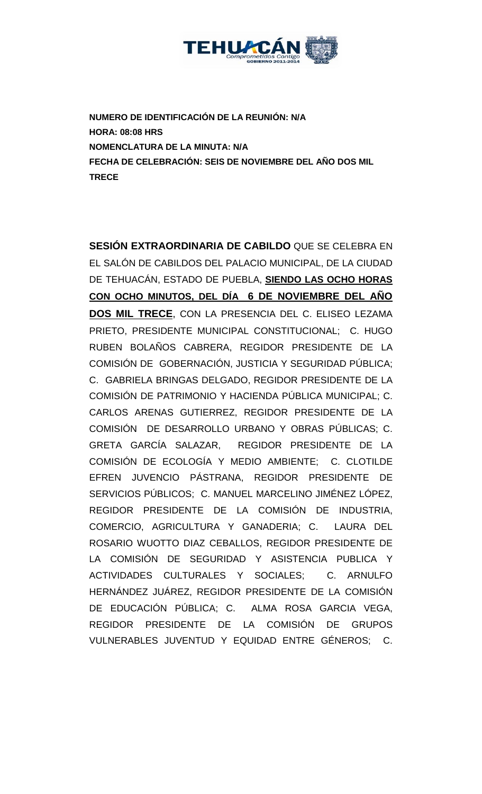

**NUMERO DE IDENTIFICACIÓN DE LA REUNIÓN: N/A HORA: 08:08 HRS NOMENCLATURA DE LA MINUTA: N/A FECHA DE CELEBRACIÓN: SEIS DE NOVIEMBRE DEL AÑO DOS MIL TRECE** 

**SESIÓN EXTRAORDINARIA DE CABILDO** QUE SE CELEBRA EN EL SALÓN DE CABILDOS DEL PALACIO MUNICIPAL, DE LA CIUDAD DE TEHUACÁN, ESTADO DE PUEBLA, **SIENDO LAS OCHO HORAS CON OCHO MINUTOS, DEL DÍA 6 DE NOVIEMBRE DEL AÑO DOS MIL TRECE**, CON LA PRESENCIA DEL C. ELISEO LEZAMA PRIETO, PRESIDENTE MUNICIPAL CONSTITUCIONAL; C. HUGO RUBEN BOLAÑOS CABRERA, REGIDOR PRESIDENTE DE LA COMISIÓN DE GOBERNACIÓN, JUSTICIA Y SEGURIDAD PÚBLICA; C. GABRIELA BRINGAS DELGADO, REGIDOR PRESIDENTE DE LA COMISIÓN DE PATRIMONIO Y HACIENDA PÚBLICA MUNICIPAL; C. CARLOS ARENAS GUTIERREZ, REGIDOR PRESIDENTE DE LA COMISIÓN DE DESARROLLO URBANO Y OBRAS PÚBLICAS; C. GRETA GARCÍA SALAZAR, REGIDOR PRESIDENTE DE LA COMISIÓN DE ECOLOGÍA Y MEDIO AMBIENTE; C. CLOTILDE EFREN JUVENCIO PÁSTRANA, REGIDOR PRESIDENTE DE SERVICIOS PÚBLICOS; C. MANUEL MARCELINO JIMÉNEZ LÓPEZ, REGIDOR PRESIDENTE DE LA COMISIÓN DE INDUSTRIA, COMERCIO, AGRICULTURA Y GANADERIA; C. LAURA DEL ROSARIO WUOTTO DIAZ CEBALLOS, REGIDOR PRESIDENTE DE LA COMISIÓN DE SEGURIDAD Y ASISTENCIA PUBLICA Y ACTIVIDADES CULTURALES Y SOCIALES; C. ARNULFO HERNÁNDEZ JUÁREZ, REGIDOR PRESIDENTE DE LA COMISIÓN DE EDUCACIÓN PÚBLICA; C. ALMA ROSA GARCIA VEGA, REGIDOR PRESIDENTE DE LA COMISIÓN DE GRUPOS VULNERABLES JUVENTUD Y EQUIDAD ENTRE GÉNEROS; C.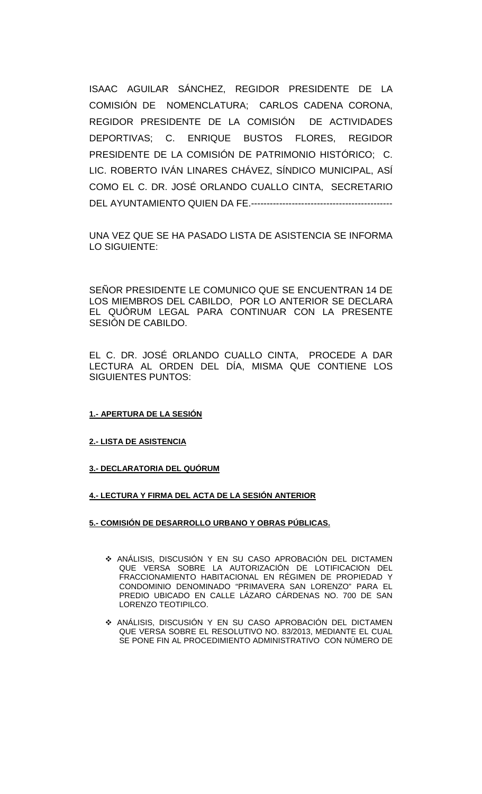ISAAC AGUILAR SÁNCHEZ, REGIDOR PRESIDENTE DE LA COMISIÓN DE NOMENCLATURA; CARLOS CADENA CORONA, REGIDOR PRESIDENTE DE LA COMISIÓN DE ACTIVIDADES DEPORTIVAS; C. ENRIQUE BUSTOS FLORES, REGIDOR PRESIDENTE DE LA COMISIÓN DE PATRIMONIO HISTÓRICO; C. LIC. ROBERTO IVÁN LINARES CHÁVEZ, SÍNDICO MUNICIPAL, ASÍ COMO EL C. DR. JOSÉ ORLANDO CUALLO CINTA, SECRETARIO DEL AYUNTAMIENTO QUIEN DA FE.---------------------------------------------

UNA VEZ QUE SE HA PASADO LISTA DE ASISTENCIA SE INFORMA LO SIGUIENTE:

SEÑOR PRESIDENTE LE COMUNICO QUE SE ENCUENTRAN 14 DE LOS MIEMBROS DEL CABILDO, POR LO ANTERIOR SE DECLARA EL QUÓRUM LEGAL PARA CONTINUAR CON LA PRESENTE SESIÓN DE CABILDO.

EL C. DR. JOSÉ ORLANDO CUALLO CINTA, PROCEDE A DAR LECTURA AL ORDEN DEL DÍA, MISMA QUE CONTIENE LOS SIGUIENTES PUNTOS:

## **1.- APERTURA DE LA SESIÓN**

### **2.- LISTA DE ASISTENCIA**

## **3.- DECLARATORIA DEL QUÓRUM**

**4.- LECTURA Y FIRMA DEL ACTA DE LA SESIÓN ANTERIOR** 

### **5.- COMISIÓN DE DESARROLLO URBANO Y OBRAS PÚBLICAS.**

- ANÁLISIS, DISCUSIÓN Y EN SU CASO APROBACIÓN DEL DICTAMEN QUE VERSA SOBRE LA AUTORIZACIÓN DE LOTIFICACION DEL FRACCIONAMIENTO HABITACIONAL EN RÉGIMEN DE PROPIEDAD Y CONDOMINIO DENOMINADO "PRIMAVERA SAN LORENZO" PARA EL PREDIO UBICADO EN CALLE LÁZARO CÁRDENAS NO. 700 DE SAN LORENZO TEOTIPILCO.
- ANÁLISIS, DISCUSIÓN Y EN SU CASO APROBACIÓN DEL DICTAMEN QUE VERSA SOBRE EL RESOLUTIVO NO. 83/2013, MEDIANTE EL CUAL SE PONE FIN AL PROCEDIMIENTO ADMINISTRATIVO CON NÚMERO DE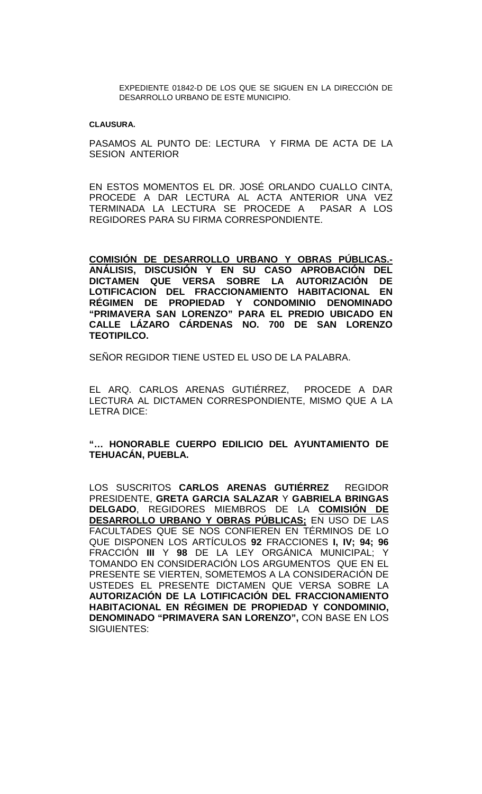EXPEDIENTE 01842-D DE LOS QUE SE SIGUEN EN LA DIRECCIÓN DE DESARROLLO URBANO DE ESTE MUNICIPIO.

#### **CLAUSURA.**

PASAMOS AL PUNTO DE: LECTURA Y FIRMA DE ACTA DE LA SESION ANTERIOR

EN ESTOS MOMENTOS EL DR. JOSÉ ORLANDO CUALLO CINTA, PROCEDE A DAR LECTURA AL ACTA ANTERIOR UNA VEZ TERMINADA LA LECTURA SE PROCEDE A PASAR A LOS REGIDORES PARA SU FIRMA CORRESPONDIENTE.

**COMISIÓN DE DESARROLLO URBANO Y OBRAS PÚBLICAS.- ANÁLISIS, DISCUSIÓN Y EN SU CASO APROBACIÓN DEL**  DICTAMEN QUE VERSA SOBRE LA AUTORIZACIÓN **LOTIFICACION DEL FRACCIONAMIENTO HABITACIONAL EN RÉGIMEN DE PROPIEDAD Y CONDOMINIO DENOMINADO "PRIMAVERA SAN LORENZO" PARA EL PREDIO UBICADO EN CALLE LÁZARO CÁRDENAS NO. 700 DE SAN LORENZO TEOTIPILCO.**

SEÑOR REGIDOR TIENE USTED EL USO DE LA PALABRA.

EL ARQ. CARLOS ARENAS GUTIÉRREZ, PROCEDE A DAR LECTURA AL DICTAMEN CORRESPONDIENTE, MISMO QUE A LA LETRA DICE:

# **"… HONORABLE CUERPO EDILICIO DEL AYUNTAMIENTO DE TEHUACÁN, PUEBLA.**

LOS SUSCRITOS **CARLOS ARENAS GUTIÉRREZ** REGIDOR PRESIDENTE, **GRETA GARCIA SALAZAR** Y **GABRIELA BRINGAS DELGADO**, REGIDORES MIEMBROS DE LA **COMISIÓN DE DESARROLLO URBANO Y OBRAS PÚBLICAS;** EN USO DE LAS FACULTADES QUE SE NOS CONFIEREN EN TÉRMINOS DE LO QUE DISPONEN LOS ARTÍCULOS **92** FRACCIONES **I, IV; 94; 96** FRACCIÓN **III** Y **98** DE LA LEY ORGÁNICA MUNICIPAL; Y TOMANDO EN CONSIDERACIÓN LOS ARGUMENTOS QUE EN EL PRESENTE SE VIERTEN, SOMETEMOS A LA CONSIDERACIÓN DE USTEDES EL PRESENTE DICTAMEN QUE VERSA SOBRE LA **AUTORIZACIÓN DE LA LOTIFICACIÓN DEL FRACCIONAMIENTO HABITACIONAL EN RÉGIMEN DE PROPIEDAD Y CONDOMINIO, DENOMINADO "PRIMAVERA SAN LORENZO",** CON BASE EN LOS SIGUIENTES: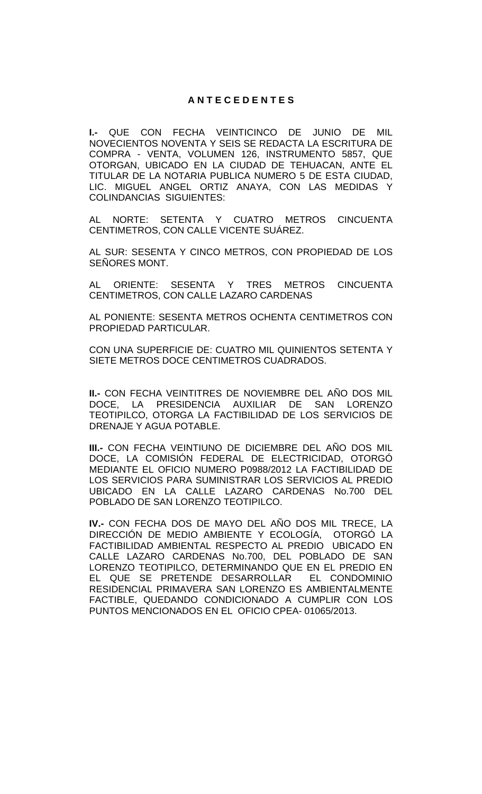# **A N T E C E D E N T E S**

**I.-** QUE CON FECHA VEINTICINCO DE JUNIO DE MIL NOVECIENTOS NOVENTA Y SEIS SE REDACTA LA ESCRITURA DE COMPRA - VENTA, VOLUMEN 126, INSTRUMENTO 5857, QUE OTORGAN, UBICADO EN LA CIUDAD DE TEHUACAN, ANTE EL TITULAR DE LA NOTARIA PUBLICA NUMERO 5 DE ESTA CIUDAD, LIC. MIGUEL ANGEL ORTIZ ANAYA, CON LAS MEDIDAS Y COLINDANCIAS SIGUIENTES:

AL NORTE: SETENTA Y CUATRO METROS CINCUENTA CENTIMETROS, CON CALLE VICENTE SUÁREZ.

AL SUR: SESENTA Y CINCO METROS, CON PROPIEDAD DE LOS SEÑORES MONT.

AL ORIENTE: SESENTA Y TRES METROS CINCUENTA CENTIMETROS, CON CALLE LAZARO CARDENAS

AL PONIENTE: SESENTA METROS OCHENTA CENTIMETROS CON PROPIEDAD PARTICULAR.

CON UNA SUPERFICIE DE: CUATRO MIL QUINIENTOS SETENTA Y SIETE METROS DOCE CENTIMETROS CUADRADOS.

**II.-** CON FECHA VEINTITRES DE NOVIEMBRE DEL AÑO DOS MIL DOCE, LA PRESIDENCIA AUXILIAR DE SAN LORENZO TEOTIPILCO, OTORGA LA FACTIBILIDAD DE LOS SERVICIOS DE DRENAJE Y AGUA POTABLE.

**III.-** CON FECHA VEINTIUNO DE DICIEMBRE DEL AÑO DOS MIL DOCE, LA COMISIÓN FEDERAL DE ELECTRICIDAD, OTORGÓ MEDIANTE EL OFICIO NUMERO P0988/2012 LA FACTIBILIDAD DE LOS SERVICIOS PARA SUMINISTRAR LOS SERVICIOS AL PREDIO UBICADO EN LA CALLE LAZARO CARDENAS No.700 DEL POBLADO DE SAN LORENZO TEOTIPILCO.

**IV.-** CON FECHA DOS DE MAYO DEL AÑO DOS MIL TRECE, LA DIRECCIÓN DE MEDIO AMBIENTE Y ECOLOGÍA, OTORGÓ LA FACTIBILIDAD AMBIENTAL RESPECTO AL PREDIO UBICADO EN CALLE LAZARO CARDENAS No.700, DEL POBLADO DE SAN LORENZO TEOTIPILCO, DETERMINANDO QUE EN EL PREDIO EN EL QUE SE PRETENDE DESARROLLAR EL CONDOMINIO RESIDENCIAL PRIMAVERA SAN LORENZO ES AMBIENTALMENTE FACTIBLE, QUEDANDO CONDICIONADO A CUMPLIR CON LOS PUNTOS MENCIONADOS EN EL OFICIO CPEA- 01065/2013.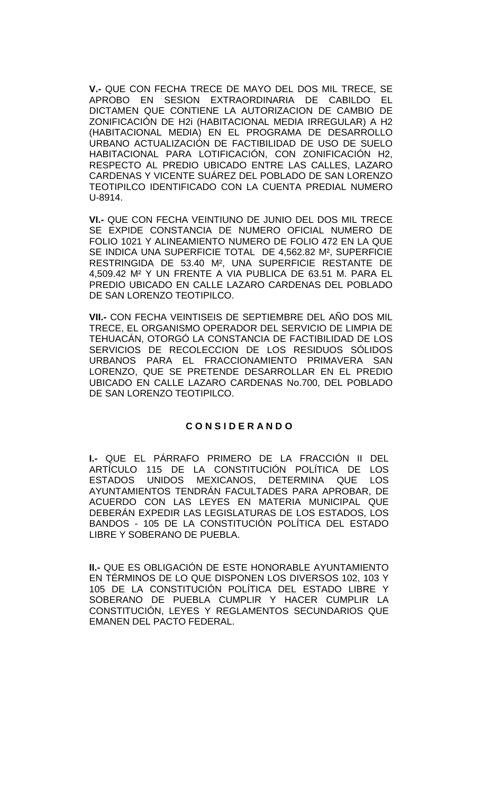**V.-** QUE CON FECHA TRECE DE MAYO DEL DOS MIL TRECE, SE APROBO EN SESION EXTRAORDINARIA DE CABILDO EL DICTAMEN QUE CONTIENE LA AUTORIZACION DE CAMBIO DE ZONIFICACIÓN DE H2i (HABITACIONAL MEDIA IRREGULAR) A H2 (HABITACIONAL MEDIA) EN EL PROGRAMA DE DESARROLLO URBANO ACTUALIZACIÓN DE FACTIBILIDAD DE USO DE SUELO HABITACIONAL PARA LOTIFICACIÓN, CON ZONIFICACIÓN H2, RESPECTO AL PREDIO UBICADO ENTRE LAS CALLES, LAZARO CARDENAS Y VICENTE SUÁREZ DEL POBLADO DE SAN LORENZO TEOTIPILCO IDENTIFICADO CON LA CUENTA PREDIAL NUMERO U-8914.

**VI.-** QUE CON FECHA VEINTIUNO DE JUNIO DEL DOS MIL TRECE SE EXPIDE CONSTANCIA DE NUMERO OFICIAL NUMERO DE FOLIO 1021 Y ALINEAMIENTO NUMERO DE FOLIO 472 EN LA QUE SE INDICA UNA SUPERFICIE TOTAL DE 4,562.82 M², SUPERFICIE RESTRINGIDA DE 53.40 M², UNA SUPERFICIE RESTANTE DE 4,509.42 M² Y UN FRENTE A VIA PUBLICA DE 63.51 M. PARA EL PREDIO UBICADO EN CALLE LAZARO CARDENAS DEL POBLADO DE SAN LORENZO TEOTIPILCO.

**VII.-** CON FECHA VEINTISEIS DE SEPTIEMBRE DEL AÑO DOS MIL TRECE, EL ORGANISMO OPERADOR DEL SERVICIO DE LIMPIA DE TEHUACÁN, OTORGÓ LA CONSTANCIA DE FACTIBILIDAD DE LOS SERVICIOS DE RECOLECCION DE LOS RESIDUOS SÓLIDOS URBANOS PARA EL FRACCIONAMIENTO PRIMAVERA SAN LORENZO, QUE SE PRETENDE DESARROLLAR EN EL PREDIO UBICADO EN CALLE LAZARO CARDENAS No.700, DEL POBLADO DE SAN LORENZO TEOTIPILCO.

## **C O N S I D E R A N D O**

**I.-** QUE EL PÁRRAFO PRIMERO DE LA FRACCIÓN II DEL ARTÍCULO 115 DE LA CONSTITUCIÓN POLÍTICA DE LOS<br>ESTADOS UNIDOS MEXICANOS, DETERMINA QUE LOS UNIDOS MEXICANOS, DETERMINA QUE LOS AYUNTAMIENTOS TENDRÁN FACULTADES PARA APROBAR, DE ACUERDO CON LAS LEYES EN MATERIA MUNICIPAL QUE DEBERÁN EXPEDIR LAS LEGISLATURAS DE LOS ESTADOS, LOS BANDOS - 105 DE LA CONSTITUCIÓN POLÍTICA DEL ESTADO LIBRE Y SOBERANO DE PUEBLA.

**II.-** QUE ES OBLIGACIÓN DE ESTE HONORABLE AYUNTAMIENTO EN TÉRMINOS DE LO QUE DISPONEN LOS DIVERSOS 102, 103 Y 105 DE LA CONSTITUCIÓN POLÍTICA DEL ESTADO LIBRE Y SOBERANO DE PUEBLA CUMPLIR Y HACER CUMPLIR LA CONSTITUCIÓN, LEYES Y REGLAMENTOS SECUNDARIOS QUE EMANEN DEL PACTO FEDERAL.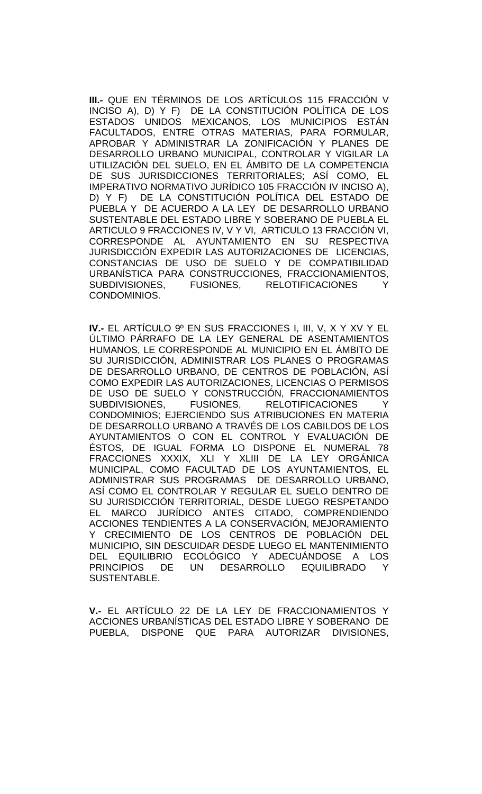**III.-** QUE EN TÉRMINOS DE LOS ARTÍCULOS 115 FRACCIÓN V INCISO A), D) Y F) DE LA CONSTITUCION POLITICA DE LOS ESTADOS UNIDOS MEXICANOS, LOS MUNICIPIOS ESTÁN FACULTADOS, ENTRE OTRAS MATERIAS, PARA FORMULAR, APROBAR Y ADMINISTRAR LA ZONIFICACIÓN Y PLANES DE DESARROLLO URBANO MUNICIPAL, CONTROLAR Y VIGILAR LA UTILIZACIÓN DEL SUELO, EN EL ÁMBITO DE LA COMPETENCIA DE SUS JURISDICCIONES TERRITORIALES; ASÍ COMO, EL IMPERATIVO NORMATIVO JURÍDICO 105 FRACCIÓN IV INCISO A), D) Y F) DE LA CONSTITUCIÓN POLÍTICA DEL ESTADO DE PUEBLA Y DE ACUERDO A LA LEY DE DESARROLLO URBANO SUSTENTABLE DEL ESTADO LIBRE Y SOBERANO DE PUEBLA EL ARTICULO 9 FRACCIONES IV, V Y VI, ARTICULO 13 FRACCIÓN VI, CORRESPONDE AL AYUNTAMIENTO EN SU RESPECTIVA JURISDICCIÓN EXPEDIR LAS AUTORIZACIONES DE LICENCIAS, CONSTANCIAS DE USO DE SUELO Y DE COMPATIBILIDAD URBANÍSTICA PARA CONSTRUCCIONES, FRACCIONAMIENTOS, SUBDIVISIONES, FUSIONES, RELOTIFICACIONES Y CONDOMINIOS.

**IV.-** EL ARTÍCULO 9º EN SUS FRACCIONES I, III, V, X Y XV Y EL ÚLTIMO PÁRRAFO DE LA LEY GENERAL DE ASENTAMIENTOS HUMANOS, LE CORRESPONDE AL MUNICIPIO EN EL ÁMBITO DE SU JURISDICCIÓN, ADMINISTRAR LOS PLANES O PROGRAMAS DE DESARROLLO URBANO, DE CENTROS DE POBLACIÓN, ASÍ COMO EXPEDIR LAS AUTORIZACIONES, LICENCIAS O PERMISOS DE USO DE SUELO Y CONSTRUCCIÓN, FRACCIONAMIENTOS SUBDIVISIONES, FUSIONES, RELOTIFICACIONES Y CONDOMINIOS; EJERCIENDO SUS ATRIBUCIONES EN MATERIA DE DESARROLLO URBANO A TRAVÉS DE LOS CABILDOS DE LOS AYUNTAMIENTOS O CON EL CONTROL Y EVALUACIÓN DE ÉSTOS, DE IGUAL FORMA LO DISPONE EL NUMERAL 78 FRACCIONES XXXIX, XLI Y XLIII DE LA LEY ORGÁNICA MUNICIPAL, COMO FACULTAD DE LOS AYUNTAMIENTOS, EL ADMINISTRAR SUS PROGRAMAS DE DESARROLLO URBANO, ASÍ COMO EL CONTROLAR Y REGULAR EL SUELO DENTRO DE SU JURISDICCIÓN TERRITORIAL, DESDE LUEGO RESPETANDO EL MARCO JURÍDICO ANTES CITADO, COMPRENDIENDO ACCIONES TENDIENTES A LA CONSERVACIÓN, MEJORAMIENTO Y CRECIMIENTO DE LOS CENTROS DE POBLACIÓN DEL MUNICIPIO, SIN DESCUIDAR DESDE LUEGO EL MANTENIMIENTO DEL EQUILIBRIO ECOLÓGICO Y ADECUÁNDOSE A LOS PRINCIPIOS DE UN DESARROLLO EQUILIBRADO Y SUSTENTABLE.

**V.-** EL ARTÍCULO 22 DE LA LEY DE FRACCIONAMIENTOS Y ACCIONES URBANÍSTICAS DEL ESTADO LIBRE Y SOBERANO DE PUEBLA, DISPONE QUE PARA AUTORIZAR DIVISIONES,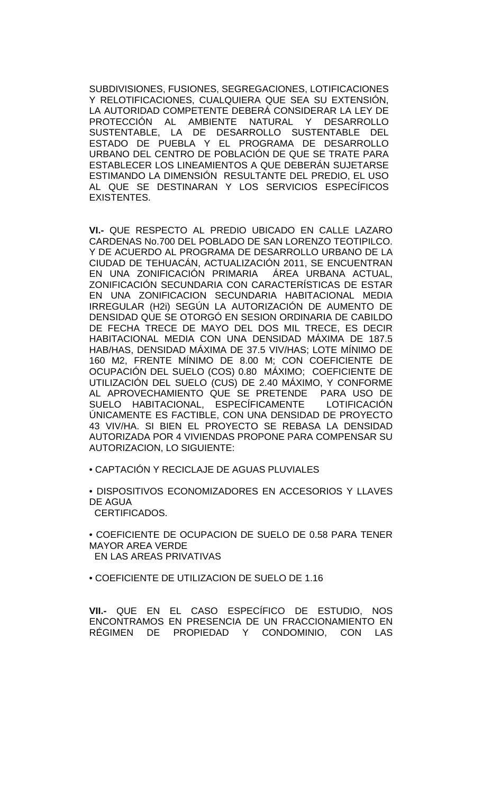SUBDIVISIONES, FUSIONES, SEGREGACIONES, LOTIFICACIONES Y RELOTIFICACIONES, CUALQUIERA QUE SEA SU EXTENSIÓN, LA AUTORIDAD COMPETENTE DEBERÁ CONSIDERAR LA LEY DE<br>PROTECCIÓN AL AMBIENTE NATURAL Y DESARROLLO PROTECCIÓN AL AMBIENTE SUSTENTABLE, LA DE DESARROLLO SUSTENTABLE DEL ESTADO DE PUEBLA Y EL PROGRAMA DE DESARROLLO URBANO DEL CENTRO DE POBLACIÓN DE QUE SE TRATE PARA ESTABLECER LOS LINEAMIENTOS A QUE DEBERÁN SUJETARSE ESTIMANDO LA DIMENSIÓN RESULTANTE DEL PREDIO, EL USO AL QUE SE DESTINARAN Y LOS SERVICIOS ESPECÍFICOS EXISTENTES.

**VI.-** QUE RESPECTO AL PREDIO UBICADO EN CALLE LAZARO CARDENAS No.700 DEL POBLADO DE SAN LORENZO TEOTIPILCO. Y DE ACUERDO AL PROGRAMA DE DESARROLLO URBANO DE LA CIUDAD DE TEHUACÁN, ACTUALIZACIÓN 2011, SE ENCUENTRAN EN UNA ZONIFICACIÓN PRIMARIA ÁREA URBANA ACTUAL, ZONIFICACIÓN SECUNDARIA CON CARACTERÍSTICAS DE ESTAR EN UNA ZONIFICACION SECUNDARIA HABITACIONAL MEDIA IRREGULAR (H2i) SEGÚN LA AUTORIZACIÓN DE AUMENTO DE DENSIDAD QUE SE OTORGÓ EN SESION ORDINARIA DE CABILDO DE FECHA TRECE DE MAYO DEL DOS MIL TRECE, ES DECIR HABITACIONAL MEDIA CON UNA DENSIDAD MÁXIMA DE 187.5 HAB/HAS, DENSIDAD MÁXIMA DE 37.5 VIV/HAS; LOTE MÍNIMO DE 160 M2, FRENTE MÍNIMO DE 8.00 M; CON COEFICIENTE DE OCUPACIÓN DEL SUELO (COS) 0.80 MÁXIMO; COEFICIENTE DE UTILIZACIÓN DEL SUELO (CUS) DE 2.40 MÁXIMO, Y CONFORME AL APROVECHAMIENTO QUE SE PRETENDE PARA USO DE SUELO HABITACIONAL, ESPECÍFICAMENTE LOTIFICACIÓN ÚNICAMENTE ES FACTIBLE, CON UNA DENSIDAD DE PROYECTO 43 VIV/HA. SI BIEN EL PROYECTO SE REBASA LA DENSIDAD AUTORIZADA POR 4 VIVIENDAS PROPONE PARA COMPENSAR SU AUTORIZACION, LO SIGUIENTE:

• CAPTACIÓN Y RECICLAJE DE AGUAS PLUVIALES

• DISPOSITIVOS ECONOMIZADORES EN ACCESORIOS Y LLAVES DE AGUA

CERTIFICADOS.

• COEFICIENTE DE OCUPACION DE SUELO DE 0.58 PARA TENER MAYOR AREA VERDE EN LAS AREAS PRIVATIVAS

• COEFICIENTE DE UTILIZACION DE SUELO DE 1.16

**VII.-** QUE EN EL CASO ESPECÍFICO DE ESTUDIO, NOS ENCONTRAMOS EN PRESENCIA DE UN FRACCIONAMIENTO EN RÉGIMEN DE PROPIEDAD Y CONDOMINIO, CON LAS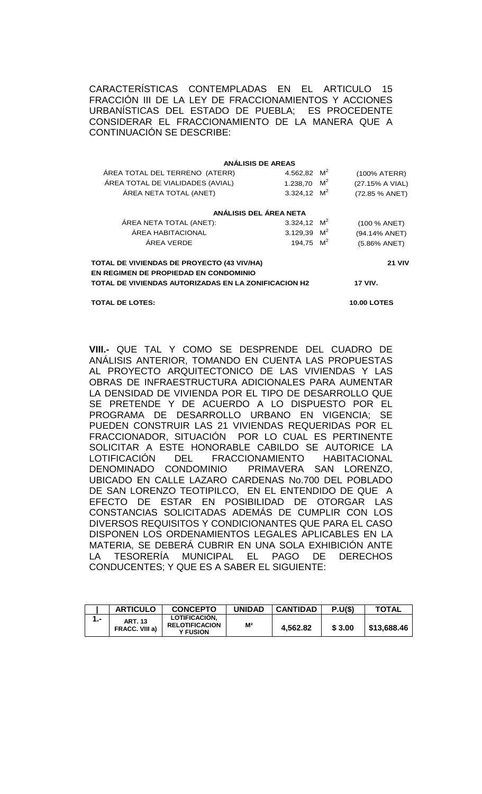CARACTERÍSTICAS CONTEMPLADAS EN EL ARTICULO 15 FRACCIÓN III DE LA LEY DE FRACCIONAMIENTOS Y ACCIONES URBANÍSTICAS DEL ESTADO DE PUEBLA; ES PROCEDENTE CONSIDERAR EL FRACCIONAMIENTO DE LA MANERA QUE A CONTINUACIÓN SE DESCRIBE:

|                                                                                     | <b>ANÁLISIS DE AREAS</b> |  |                 |
|-------------------------------------------------------------------------------------|--------------------------|--|-----------------|
| ÁREA TOTAL DEL TERRENO (ATERR)                                                      | 4.562,82 $M^2$           |  | (100% ATERR)    |
| ÁREA TOTAL DE VIALIDADES (AVIAL)                                                    | 1.238,70 $M^2$           |  | (27.15% A VIAL) |
| ÁREA NETA TOTAL (ANET)                                                              | 3.324,12 $M^2$           |  | (72.85 % ANET)  |
|                                                                                     | ANÁLISIS DEL ÁREA NETA   |  |                 |
| ÁREA NETA TOTAL (ANET):                                                             | 3.324,12 $M^2$           |  | (100 % ANET)    |
| ÁREA HABITACIONAL                                                                   | 3.129,39 $M^2$           |  | (94.14% ANET)   |
| ÁREA VERDE                                                                          | 194.75 $M^2$             |  | (5.86% ANET)    |
| TOTAL DE VIVIENDAS DE PROYECTO (43 VIV/HA)<br>EN REGIMEN DE PROPIEDAD EN CONDOMINIO |                          |  | <b>21 VIV</b>   |
| TOTAL DE VIVIENDAS AUTORIZADAS EN LA ZONIFICACION H2                                | <b>17 VIV.</b>           |  |                 |

**TOTAL DE LOTES: 10.00 LOTES**

**VIII.-** QUE TAL Y COMO SE DESPRENDE DEL CUADRO DE ANÁLISIS ANTERIOR, TOMANDO EN CUENTA LAS PROPUESTAS AL PROYECTO ARQUITECTONICO DE LAS VIVIENDAS Y LAS OBRAS DE INFRAESTRUCTURA ADICIONALES PARA AUMENTAR LA DENSIDAD DE VIVIENDA POR EL TIPO DE DESARROLLO QUE SE PRETENDE Y DE ACUERDO A LO DISPUESTO POR EL PROGRAMA DE DESARROLLO URBANO EN VIGENCIA; SE PUEDEN CONSTRUIR LAS 21 VIVIENDAS REQUERIDAS POR EL FRACCIONADOR, SITUACIÓN POR LO CUAL ES PERTINENTE SOLICITAR A ESTE HONORABLE CABILDO SE AUTORICE LA<br>LOTIFICACIÓN DEL FRACCIONAMIENTO HABITACIONAL LOTIFICACIÓN DEL FRACCIONAMIENTO HABITACIONAL<br>DENOMINADO CONDOMINIO PRIMAVERA SAN LORENZO. PRIMAVERA SAN LORENZO, UBICADO EN CALLE LAZARO CARDENAS No.700 DEL POBLADO DE SAN LORENZO TEOTIPILCO, EN EL ENTENDIDO DE QUE A EFECTO DE ESTAR EN POSIBILIDAD DE OTORGAR LAS CONSTANCIAS SOLICITADAS ADEMÁS DE CUMPLIR CON LOS DIVERSOS REQUISITOS Y CONDICIONANTES QUE PARA EL CASO DISPONEN LOS ORDENAMIENTOS LEGALES APLICABLES EN LA MATERIA, SE DEBERÁ CUBRIR EN UNA SOLA EXHIBICIÓN ANTE LA TESORERÍA MUNICIPAL EL PAGO DE DERECHOS CONDUCENTES; Y QUE ES A SABER EL SIGUIENTE:

| <b>ARTICULO</b>                         | <b>CONCEPTO</b>                                           | <b>UNIDAD</b>  | <b>CANTIDAD</b> | P.U(S) | <b>TOTAL</b> |
|-----------------------------------------|-----------------------------------------------------------|----------------|-----------------|--------|--------------|
| <b>ART. 13</b><br><b>FRACC. VIII a)</b> | LOTIFICACION.<br><b>RELOTIFICACION</b><br><b>Y FUSION</b> | M <sup>2</sup> | 4,562.82        | \$3.00 | \$13,688.46  |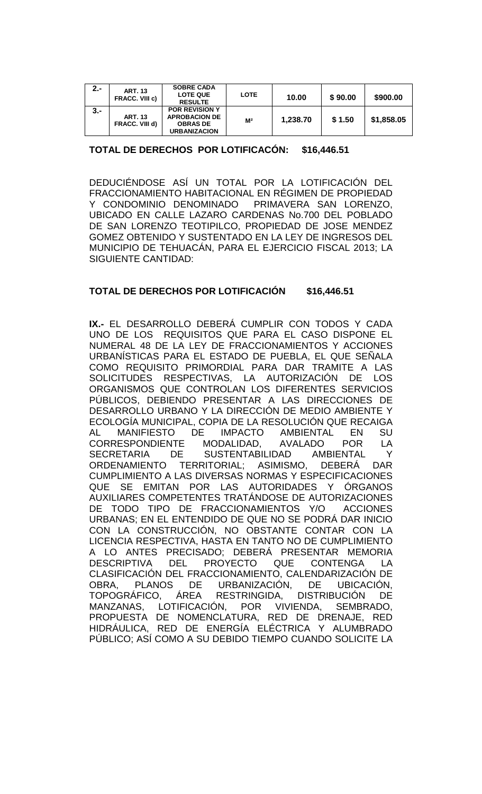| $2 -$ | <b>ART. 13</b><br>FRACC. VIII c) | <b>SOBRE CADA</b><br><b>LOTE QUE</b><br><b>RESULTE</b>                                  | <b>LOTE</b>    | 10.00    | \$90.00 | \$900.00   |
|-------|----------------------------------|-----------------------------------------------------------------------------------------|----------------|----------|---------|------------|
| $3 -$ | <b>ART. 13</b><br>FRACC. VIII d) | <b>POR REVISION Y</b><br><b>APROBACION DE</b><br><b>OBRAS DE</b><br><b>URBANIZACION</b> | M <sup>2</sup> | 1,238.70 | \$1.50  | \$1,858.05 |

# **TOTAL DE DERECHOS POR LOTIFICACÓN: \$16,446.51**

DEDUCIÉNDOSE ASÍ UN TOTAL POR LA LOTIFICACIÓN DEL FRACCIONAMIENTO HABITACIONAL EN RÉGIMEN DE PROPIEDAD<br>Y CONDOMINIO DENOMINADO PRIMAVERA SAN LORENZO. Y CONDOMINIO DENOMINADO UBICADO EN CALLE LAZARO CARDENAS No.700 DEL POBLADO DE SAN LORENZO TEOTIPILCO, PROPIEDAD DE JOSE MENDEZ GOMEZ OBTENIDO Y SUSTENTADO EN LA LEY DE INGRESOS DEL MUNICIPIO DE TEHUACÁN, PARA EL EJERCICIO FISCAL 2013; LA SIGUIENTE CANTIDAD:

# **TOTAL DE DERECHOS POR LOTIFICACIÓN \$16,446.51**

**IX.-** EL DESARROLLO DEBERÁ CUMPLIR CON TODOS Y CADA UNO DE LOS REQUISITOS QUE PARA EL CASO DISPONE EL NUMERAL 48 DE LA LEY DE FRACCIONAMIENTOS Y ACCIONES URBANÍSTICAS PARA EL ESTADO DE PUEBLA, EL QUE SEÑALA COMO REQUISITO PRIMORDIAL PARA DAR TRAMITE A LAS SOLICITUDES RESPECTIVAS, LA AUTORIZACIÓN DE LOS ORGANISMOS QUE CONTROLAN LOS DIFERENTES SERVICIOS PÚBLICOS, DEBIENDO PRESENTAR A LAS DIRECCIONES DE DESARROLLO URBANO Y LA DIRECCIÓN DE MEDIO AMBIENTE Y ECOLOGÍA MUNICIPAL, COPIA DE LA RESOLUCIÓN QUE RECAIGA AL MANIFIESTO DE IMPACTO AMBIENTAL EN SU<br>CORRESPONDIENTE MODALIDAD, AVALADO POR LA CORRESPONDIENTE MODALIDAD, AVALADO POR LA SECRETARIA DE SUSTENTABILIDAD AMBIENTAL Y ORDENAMIENTO TERRITORIAL; ASIMISMO, DEBERÁ DAR CUMPLIMIENTO A LAS DIVERSAS NORMAS Y ESPECIFICACIONES QUE SE EMITAN POR LAS AUTORIDADES Y ÓRGANOS AUXILIARES COMPETENTES TRATÁNDOSE DE AUTORIZACIONES DE TODO TIPO DE FRACCIONAMIENTOS Y/O ACCIONES URBANAS; EN EL ENTENDIDO DE QUE NO SE PODRÁ DAR INICIO CON LA CONSTRUCCIÓN, NO OBSTANTE CONTAR CON LA LICENCIA RESPECTIVA, HASTA EN TANTO NO DE CUMPLIMIENTO A LO ANTES PRECISADO; DEBERÁ PRESENTAR MEMORIA<br>DESCRIPTIVA DEL PROYECTO QUE CONTENGA LA DESCRIPTIVA DEL PROYECTO QUE CONTENGA LA CLASIFICACIÓN DEL FRACCIONAMIENTO, CALENDARIZACIÓN DE OBRA, PLANOS DE URBANIZACIÓN, DE UBICACIÓN, TOPOGRÁFICO, ÁREA RESTRINGIDA, DISTRIBUCIÓN DE<br>MANZANAS. LOTIFICACIÓN. POR VIVIENDA. SEMBRADO. MANZANAS, LOTIFICACIÓN, POR VIVIENDA, SEMBRADO, PROPUESTA DE NOMENCLATURA, RED DE DRENAJE, RED HIDRÁULICA, RED DE ENERGÍA ELÉCTRICA Y ALUMBRADO PÚBLICO; ASÍ COMO A SU DEBIDO TIEMPO CUANDO SOLICITE LA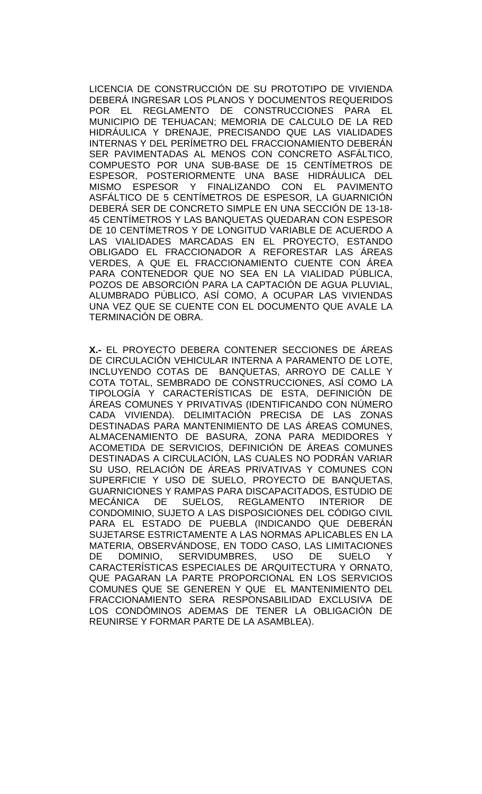LICENCIA DE CONSTRUCCIÓN DE SU PROTOTIPO DE VIVIENDA DEBERÁ INGRESAR LOS PLANOS Y DOCUMENTOS REQUERIDOS POR EL REGLAMENTO DE CONSTRUCCIONES PARA EL MUNICIPIO DE TEHUACAN; MEMORIA DE CALCULO DE LA RED HIDRÁULICA Y DRENAJE, PRECISANDO QUE LAS VIALIDADES INTERNAS Y DEL PERÍMETRO DEL FRACCIONAMIENTO DEBERÁN SER PAVIMENTADAS AL MENOS CON CONCRETO ASFÁLTICO, COMPUESTO POR UNA SUB-BASE DE 15 CENTÍMETROS DE ESPESOR, POSTERIORMENTE UNA BASE HIDRÁULICA DEL MISMO ESPESOR Y FINALIZANDO CON EL PAVIMENTO ASFÁLTICO DE 5 CENTÍMETROS DE ESPESOR, LA GUARNICIÓN DEBERÁ SER DE CONCRETO SIMPLE EN UNA SECCIÓN DE 13-18- 45 CENTÍMETROS Y LAS BANQUETAS QUEDARAN CON ESPESOR DE 10 CENTÍMETROS Y DE LONGITUD VARIABLE DE ACUERDO A LAS VIALIDADES MARCADAS EN EL PROYECTO, ESTANDO OBLIGADO EL FRACCIONADOR A REFORESTAR LAS ÁREAS VERDES, A QUE EL FRACCIONAMIENTO CUENTE CON ÁREA PARA CONTENEDOR QUE NO SEA EN LA VIALIDAD PÚBLICA, POZOS DE ABSORCIÓN PARA LA CAPTACIÓN DE AGUA PLUVIAL, ALUMBRADO PÚBLICO, ASÍ COMO, A OCUPAR LAS VIVIENDAS UNA VEZ QUE SE CUENTE CON EL DOCUMENTO QUE AVALE LA TERMINACIÓN DE OBRA.

**X.-** EL PROYECTO DEBERA CONTENER SECCIONES DE ÁREAS DE CIRCULACIÓN VEHICULAR INTERNA A PARAMENTO DE LOTE, INCLUYENDO COTAS DE BANQUETAS, ARROYO DE CALLE Y COTA TOTAL, SEMBRADO DE CONSTRUCCIONES, ASÍ COMO LA TIPOLOGÍA Y CARACTERÍSTICAS DE ESTA, DEFINICIÓN DE ÁREAS COMUNES Y PRIVATIVAS (IDENTIFICANDO CON NÚMERO CADA VIVIENDA). DELIMITACIÓN PRECISA DE LAS ZONAS DESTINADAS PARA MANTENIMIENTO DE LAS ÁREAS COMUNES, ALMACENAMIENTO DE BASURA, ZONA PARA MEDIDORES Y ACOMETIDA DE SERVICIOS, DEFINICIÓN DE ÁREAS COMUNES DESTINADAS A CIRCULACIÓN, LAS CUALES NO PODRÁN VARIAR SU USO, RELACIÓN DE ÁREAS PRIVATIVAS Y COMUNES CON SUPERFICIE Y USO DE SUELO, PROYECTO DE BANQUETAS, GUARNICIONES Y RAMPAS PARA DISCAPACITADOS, ESTUDIO DE MECÁNICA DE SUELOS, REGLAMENTO INTERIOR DE CONDOMINIO, SUJETO A LAS DISPOSICIONES DEL CÓDIGO CIVIL PARA EL ESTADO DE PUEBLA (INDICANDO QUE DEBERÁN SUJETARSE ESTRICTAMENTE A LAS NORMAS APLICABLES EN LA MATERIA, OBSERVÁNDOSE, EN TODO CASO, LAS LIMITACIONES SERVIDUMBRES, USO DE SUELO Y CARACTERÍSTICAS ESPECIALES DE ARQUITECTURA Y ORNATO, QUE PAGARAN LA PARTE PROPORCIONAL EN LOS SERVICIOS COMUNES QUE SE GENEREN Y QUE EL MANTENIMIENTO DEL FRACCIONAMIENTO SERA RESPONSABILIDAD EXCLUSIVA DE LOS CONDÓMINOS ADEMAS DE TENER LA OBLIGACIÓN DE REUNIRSE Y FORMAR PARTE DE LA ASAMBLEA).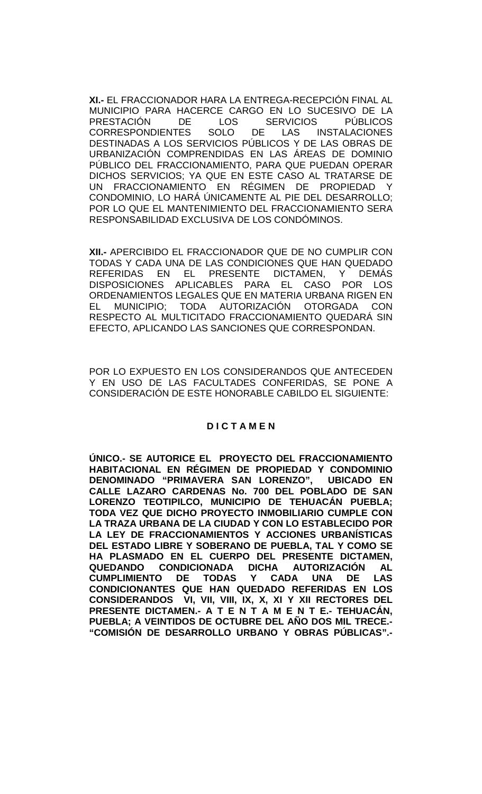**XI.-** EL FRACCIONADOR HARA LA ENTREGA-RECEPCIÓN FINAL AL MUNICIPIO PARA HACERCE CARGO EN LO SUCESIVO DE LA<br>PRESTACIÓN DE LOS SERVICIOS PÚBLICOS PRESTACIÓN DE LOS SERVICIOS PÚBLICOS<br>CORRESPONDIENTES SOLO DE LAS INSTALACIONES **CORRESPONDIENTES** DESTINADAS A LOS SERVICIOS PÚBLICOS Y DE LAS OBRAS DE URBANIZACIÓN COMPRENDIDAS EN LAS ÁREAS DE DOMINIO PÚBLICO DEL FRACCIONAMIENTO, PARA QUE PUEDAN OPERAR DICHOS SERVICIOS; YA QUE EN ESTE CASO AL TRATARSE DE UN FRACCIONAMIENTO EN RÉGIMEN DE PROPIEDAD Y CONDOMINIO, LO HARÁ ÚNICAMENTE AL PIE DEL DESARROLLO; POR LO QUE EL MANTENIMIENTO DEL FRACCIONAMIENTO SERA RESPONSABILIDAD EXCLUSIVA DE LOS CONDÓMINOS.

**XII.-** APERCIBIDO EL FRACCIONADOR QUE DE NO CUMPLIR CON TODAS Y CADA UNA DE LAS CONDICIONES QUE HAN QUEDADO REFERIDAS EN EL PRESENTE DICTAMEN, Y DEMÁS DISPOSICIONES APLICABLES PARA EL CASO POR LOS ORDENAMIENTOS LEGALES QUE EN MATERIA URBANA RIGEN EN EL MUNICIPIO; TODA AUTORIZACIÓN OTORGADA CON RESPECTO AL MULTICITADO FRACCIONAMIENTO QUEDARÁ SIN EFECTO, APLICANDO LAS SANCIONES QUE CORRESPONDAN.

POR LO EXPUESTO EN LOS CONSIDERANDOS QUE ANTECEDEN Y EN USO DE LAS FACULTADES CONFERIDAS, SE PONE A CONSIDERACIÓN DE ESTE HONORABLE CABILDO EL SIGUIENTE:

## **D I C T A M E N**

**ÚNICO.- SE AUTORICE EL PROYECTO DEL FRACCIONAMIENTO HABITACIONAL EN RÉGIMEN DE PROPIEDAD Y CONDOMINIO DENOMINADO "PRIMAVERA SAN LORENZO", CALLE LAZARO CARDENAS No. 700 DEL POBLADO DE SAN LORENZO TEOTIPILCO, MUNICIPIO DE TEHUACÁN PUEBLA; TODA VEZ QUE DICHO PROYECTO INMOBILIARIO CUMPLE CON LA TRAZA URBANA DE LA CIUDAD Y CON LO ESTABLECIDO POR LA LEY DE FRACCIONAMIENTOS Y ACCIONES URBANÍSTICAS DEL ESTADO LIBRE Y SOBERANO DE PUEBLA, TAL Y COMO SE HA PLASMADO EN EL CUERPO DEL PRESENTE DICTAMEN, QUEDANDO CONDICIONADA DICHA AUTORIZACIÓN AL DE TODAS CONDICIONANTES QUE HAN QUEDADO REFERIDAS EN LOS CONSIDERANDOS VI, VII, VIII, IX, X, XI Y XII RECTORES DEL PRESENTE DICTAMEN.- A T E N T A M E N T E.- TEHUACÁN, PUEBLA; A VEINTIDOS DE OCTUBRE DEL AÑO DOS MIL TRECE.- "COMISIÓN DE DESARROLLO URBANO Y OBRAS PÚBLICAS".-**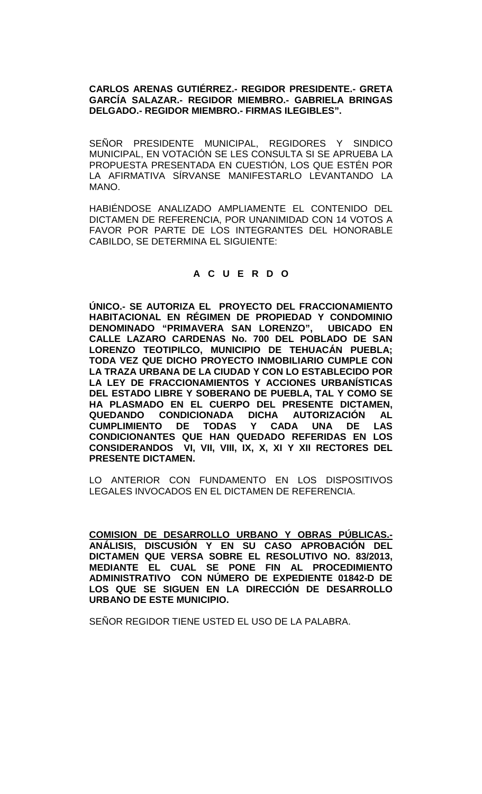## **CARLOS ARENAS GUTIÉRREZ.- REGIDOR PRESIDENTE.- GRETA GARCÍA SALAZAR.- REGIDOR MIEMBRO.- GABRIELA BRINGAS DELGADO.- REGIDOR MIEMBRO.- FIRMAS ILEGIBLES".**

SEÑOR PRESIDENTE MUNICIPAL, REGIDORES Y SINDICO MUNICIPAL, EN VOTACIÓN SE LES CONSULTA SI SE APRUEBA LA PROPUESTA PRESENTADA EN CUESTIÓN, LOS QUE ESTÉN POR LA AFIRMATIVA SÍRVANSE MANIFESTARLO LEVANTANDO LA MANO.

HABIÉNDOSE ANALIZADO AMPLIAMENTE EL CONTENIDO DEL DICTAMEN DE REFERENCIA, POR UNANIMIDAD CON 14 VOTOS A FAVOR POR PARTE DE LOS INTEGRANTES DEL HONORABLE CABILDO, SE DETERMINA EL SIGUIENTE:

# **A C U E R D O**

**ÚNICO.- SE AUTORIZA EL PROYECTO DEL FRACCIONAMIENTO HABITACIONAL EN RÉGIMEN DE PROPIEDAD Y CONDOMINIO DENOMINADO "PRIMAVERA SAN LORENZO", UBICADO EN CALLE LAZARO CARDENAS No. 700 DEL POBLADO DE SAN LORENZO TEOTIPILCO, MUNICIPIO DE TEHUACÁN PUEBLA; TODA VEZ QUE DICHO PROYECTO INMOBILIARIO CUMPLE CON LA TRAZA URBANA DE LA CIUDAD Y CON LO ESTABLECIDO POR LA LEY DE FRACCIONAMIENTOS Y ACCIONES URBANÍSTICAS DEL ESTADO LIBRE Y SOBERANO DE PUEBLA, TAL Y COMO SE HA PLASMADO EN EL CUERPO DEL PRESENTE DICTAMEN, QUEDANDO CONDICIONADA DICHA AUTORIZACIÓN AL CUMPLIMIENTO DE TODAS Y CADA UNA DE LAS CONDICIONANTES QUE HAN QUEDADO REFERIDAS EN LOS CONSIDERANDOS VI, VII, VIII, IX, X, XI Y XII RECTORES DEL PRESENTE DICTAMEN.**

LO ANTERIOR CON FUNDAMENTO EN LOS DISPOSITIVOS LEGALES INVOCADOS EN EL DICTAMEN DE REFERENCIA.

**COMISION DE DESARROLLO URBANO Y OBRAS PÚBLICAS.- ANÁLISIS, DISCUSIÓN Y EN SU CASO APROBACIÓN DEL DICTAMEN QUE VERSA SOBRE EL RESOLUTIVO NO. 83/2013, MEDIANTE EL CUAL SE PONE FIN AL PROCEDIMIENTO ADMINISTRATIVO CON NÚMERO DE EXPEDIENTE 01842-D DE LOS QUE SE SIGUEN EN LA DIRECCIÓN DE DESARROLLO URBANO DE ESTE MUNICIPIO.**

SEÑOR REGIDOR TIENE USTED EL USO DE LA PALABRA.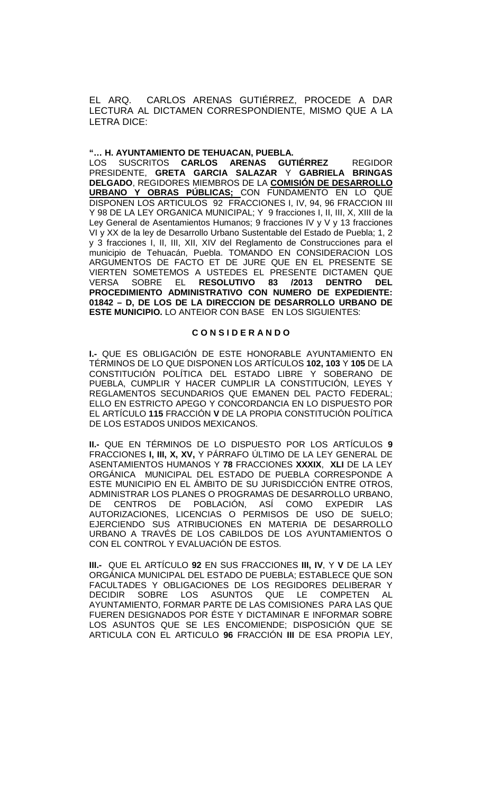EL ARQ. CARLOS ARENAS GUTIÉRREZ, PROCEDE A DAR LECTURA AL DICTAMEN CORRESPONDIENTE, MISMO QUE A LA LETRA DICE:

### **"… H. AYUNTAMIENTO DE TEHUACAN, PUEBLA.**

LOS SUSCRITOS **CARLOS ARENAS GUTIÉRREZ** REGIDOR PRESIDENTE, **GRETA GARCIA SALAZAR** Y **GABRIELA BRINGAS DELGADO**, REGIDORES MIEMBROS DE LA **COMISIÓN DE DESARROLLO URBANO Y OBRAS PÚBLICAS;** CON FUNDAMENTO EN LO QUE DISPONEN LOS ARTICULOS 92 FRACCIONES I, IV, 94, 96 FRACCION III Y 98 DE LA LEY ORGANICA MUNICIPAL; Y 9 fracciones I, II, III, X, XIII de la Ley General de Asentamientos Humanos; 9 fracciones IV y V y 13 fracciones VI y XX de la ley de Desarrollo Urbano Sustentable del Estado de Puebla; 1, 2 y 3 fracciones I, II, III, XII, XIV del Reglamento de Construcciones para el municipio de Tehuacán, Puebla. TOMANDO EN CONSIDERACION LOS ARGUMENTOS DE FACTO ET DE JURE QUE EN EL PRESENTE SE VIERTEN SOMETEMOS A USTEDES EL PRESENTE DICTAMEN QUE<br>VERSA SOBRE EL **RESOLUTIVO 83 /2013 DENTRO DEL** VERSA SOBRE EL **RESOLUTIVO 83 /2013 DENTRO DEL PROCEDIMIENTO ADMINISTRATIVO CON NUMERO DE EXPEDIENTE: 01842 – D, DE LOS DE LA DIRECCION DE DESARROLLO URBANO DE ESTE MUNICIPIO.** LO ANTEIOR CON BASE EN LOS SIGUIENTES:

### **C O N S I D E R A N D O**

**I.-** QUE ES OBLIGACIÓN DE ESTE HONORABLE AYUNTAMIENTO EN TÉRMINOS DE LO QUE DISPONEN LOS ARTÍCULOS **102, 103** Y **105** DE LA CONSTITUCIÓN POLÍTICA DEL ESTADO LIBRE Y SOBERANO DE PUEBLA, CUMPLIR Y HACER CUMPLIR LA CONSTITUCIÓN, LEYES Y REGLAMENTOS SECUNDARIOS QUE EMANEN DEL PACTO FEDERAL; ELLO EN ESTRICTO APEGO Y CONCORDANCIA EN LO DISPUESTO POR EL ARTÍCULO **115** FRACCIÓN **V** DE LA PROPIA CONSTITUCIÓN POLÍTICA DE LOS ESTADOS UNIDOS MEXICANOS.

**II.-** QUE EN TÉRMINOS DE LO DISPUESTO POR LOS ARTÍCULOS **9**  FRACCIONES **I, III, X, XV,** Y PÁRRAFO ÚLTIMO DE LA LEY GENERAL DE ASENTAMIENTOS HUMANOS Y **78** FRACCIONES **XXXIX**, **XLI** DE LA LEY ORGÁNICA MUNICIPAL DEL ESTADO DE PUEBLA CORRESPONDE A ESTE MUNICIPIO EN EL ÁMBITO DE SU JURISDICCIÓN ENTRE OTROS, ADMINISTRAR LOS PLANES O PROGRAMAS DE DESARROLLO URBANO, DE CENTROS DE POBLACIÓN, ASÍ COMO EXPEDIR LAS AUTORIZACIONES, LICENCIAS O PERMISOS DE USO DE SUELO; EJERCIENDO SUS ATRIBUCIONES EN MATERIA DE DESARROLLO URBANO A TRAVÉS DE LOS CABILDOS DE LOS AYUNTAMIENTOS O CON EL CONTROL Y EVALUACIÓN DE ESTOS.

**III.-** QUE EL ARTÍCULO **92** EN SUS FRACCIONES **III, IV**, Y **V** DE LA LEY ORGÁNICA MUNICIPAL DEL ESTADO DE PUEBLA; ESTABLECE QUE SON FACULTADES Y OBLIGACIONES DE LOS REGIDORES DELIBERAR Y<br>DECIDIR SOBRE LOS ASUNTOS QUE LE COMPETEN AL DECIDIR SOBRE LOS ASUNTOS QUE LE COMPETEN AYUNTAMIENTO, FORMAR PARTE DE LAS COMISIONES PARA LAS QUE FUEREN DESIGNADOS POR ÉSTE Y DICTAMINAR E INFORMAR SOBRE LOS ASUNTOS QUE SE LES ENCOMIENDE; DISPOSICIÓN QUE SE ARTICULA CON EL ARTICULO **96** FRACCIÓN **III** DE ESA PROPIA LEY,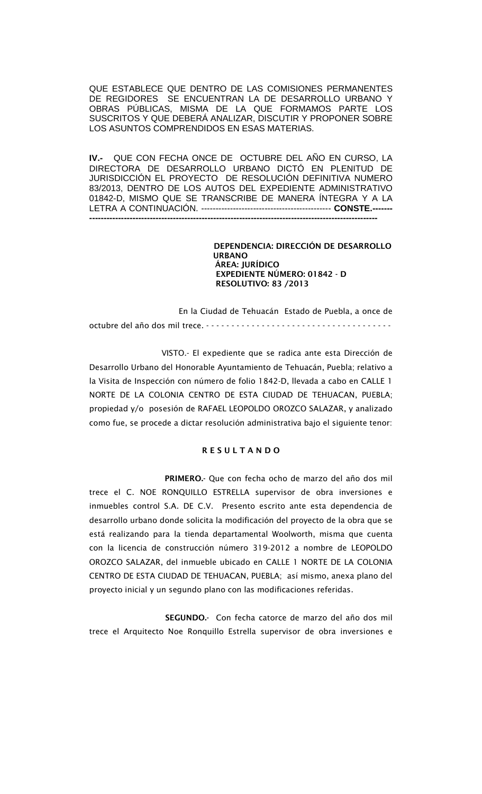QUE ESTABLECE QUE DENTRO DE LAS COMISIONES PERMANENTES DE REGIDORES SE ENCUENTRAN LA DE DESARROLLO URBANO Y OBRAS PÚBLICAS, MISMA DE LA QUE FORMAMOS PARTE LOS SUSCRITOS Y QUE DEBERÁ ANALIZAR, DISCUTIR Y PROPONER SOBRE LOS ASUNTOS COMPRENDIDOS EN ESAS MATERIAS.

**IV.-** QUE CON FECHA ONCE DE OCTUBRE DEL AÑO EN CURSO, LA DIRECTORA DE DESARROLLO URBANO DICTÓ EN PLENITUD DE JURISDICCIÓN EL PROYECTO DE RESOLUCIÓN DEFINITIVA NUMERO 83/2013, DENTRO DE LOS AUTOS DEL EXPEDIENTE ADMINISTRATIVO 01842-D, MISMO QUE SE TRANSCRIBE DE MANERA ÍNTEGRA Y A LA LETRA A CONTINUACIÓN. --------------------------------------------- **CONSTE.------- ----------------------------------------------------------------------------------------------------**

> DEPENDENCIA: DIRECCIÓN DE DESARROLLO URBANO ÁREA: JURÍDICO EXPEDIENTE NÚMERO: 01842 - D RESOLUTIVO: 83 /2013

 En la Ciudad de Tehuacán Estado de Puebla, a once de octubre del año dos mil trece. - - - - - - - - - - - - - - - - - - - - - - - - - - - - - - - - - - - - -

 VISTO.- El expediente que se radica ante esta Dirección de Desarrollo Urbano del Honorable Ayuntamiento de Tehuacán, Puebla; relativo a la Visita de Inspección con número de folio 1842-D, llevada a cabo en CALLE 1 NORTE DE LA COLONIA CENTRO DE ESTA CIUDAD DE TEHUACAN, PUEBLA; propiedad y/o posesión de RAFAEL LEOPOLDO OROZCO SALAZAR, y analizado como fue, se procede a dictar resolución administrativa bajo el siguiente tenor:

### R E S U L T A N D O

 PRIMERO.- Que con fecha ocho de marzo del año dos mil trece el C. NOE RONQUILLO ESTRELLA supervisor de obra inversiones e inmuebles control S.A. DE C.V. Presento escrito ante esta dependencia de desarrollo urbano donde solicita la modificación del proyecto de la obra que se está realizando para la tienda departamental Woolworth, misma que cuenta con la licencia de construcción número 319-2012 a nombre de LEOPOLDO OROZCO SALAZAR, del inmueble ubicado en CALLE 1 NORTE DE LA COLONIA CENTRO DE ESTA CIUDAD DE TEHUACAN, PUEBLA; así mismo, anexa plano del proyecto inicial y un segundo plano con las modificaciones referidas.

 SEGUNDO.- Con fecha catorce de marzo del año dos mil trece el Arquitecto Noe Ronquillo Estrella supervisor de obra inversiones e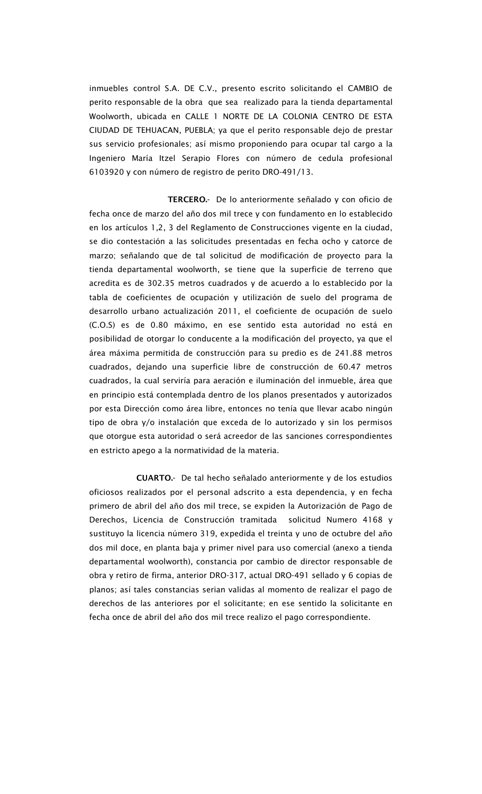inmuebles control S.A. DE C.V., presento escrito solicitando el CAMBIO de perito responsable de la obra que sea realizado para la tienda departamental Woolworth, ubicada en CALLE 1 NORTE DE LA COLONIA CENTRO DE ESTA CIUDAD DE TEHUACAN, PUEBLA; ya que el perito responsable dejo de prestar sus servicio profesionales; así mismo proponiendo para ocupar tal cargo a la Ingeniero María Itzel Serapio Flores con número de cedula profesional 6103920 y con número de registro de perito DRO-491/13.

 TERCERO.- De lo anteriormente señalado y con oficio de fecha once de marzo del año dos mil trece y con fundamento en lo establecido en los artículos 1,2, 3 del Reglamento de Construcciones vigente en la ciudad, se dio contestación a las solicitudes presentadas en fecha ocho y catorce de marzo; señalando que de tal solicitud de modificación de proyecto para la tienda departamental woolworth, se tiene que la superficie de terreno que acredita es de 302.35 metros cuadrados y de acuerdo a lo establecido por la tabla de coeficientes de ocupación y utilización de suelo del programa de desarrollo urbano actualización 2011, el coeficiente de ocupación de suelo (C.O.S) es de 0.80 máximo, en ese sentido esta autoridad no está en posibilidad de otorgar lo conducente a la modificación del proyecto, ya que el área máxima permitida de construcción para su predio es de 241.88 metros cuadrados, dejando una superficie libre de construcción de 60.47 metros cuadrados, la cual serviría para aeración e iluminación del inmueble, área que en principio está contemplada dentro de los planos presentados y autorizados por esta Dirección como área libre, entonces no tenía que llevar acabo ningún tipo de obra y/o instalación que exceda de lo autorizado y sin los permisos que otorgue esta autoridad o será acreedor de las sanciones correspondientes en estricto apego a la normatividad de la materia.

 CUARTO.- De tal hecho señalado anteriormente y de los estudios oficiosos realizados por el personal adscrito a esta dependencia, y en fecha primero de abril del año dos mil trece, se expiden la Autorización de Pago de Derechos, Licencia de Construcción tramitada solicitud Numero 4168 y sustituyo la licencia número 319, expedida el treinta y uno de octubre del año dos mil doce, en planta baja y primer nivel para uso comercial (anexo a tienda departamental woolworth), constancia por cambio de director responsable de obra y retiro de firma, anterior DRO-317, actual DRO-491 sellado y 6 copias de planos; así tales constancias serian validas al momento de realizar el pago de derechos de las anteriores por el solicitante; en ese sentido la solicitante en fecha once de abril del año dos mil trece realizo el pago correspondiente.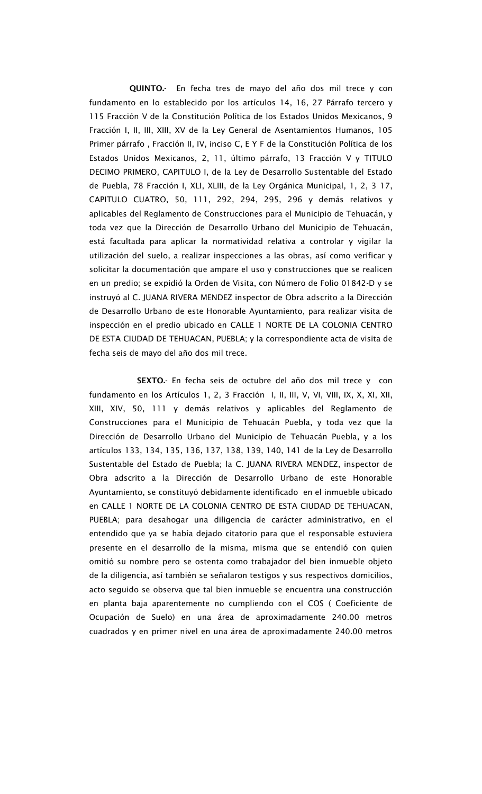QUINTO.- En fecha tres de mayo del año dos mil trece y con fundamento en lo establecido por los artículos 14, 16, 27 Párrafo tercero y 115 Fracción V de la Constitución Política de los Estados Unidos Mexicanos, 9 Fracción I, II, III, XIII, XV de la Ley General de Asentamientos Humanos, 105 Primer párrafo , Fracción II, IV, inciso C, E Y F de la Constitución Política de los Estados Unidos Mexicanos, 2, 11, último párrafo, 13 Fracción V y TITULO DECIMO PRIMERO, CAPITULO I, de la Ley de Desarrollo Sustentable del Estado de Puebla, 78 Fracción I, XLI, XLIII, de la Ley Orgánica Municipal, 1, 2, 3 17, CAPITULO CUATRO, 50, 111, 292, 294, 295, 296 y demás relativos y aplicables del Reglamento de Construcciones para el Municipio de Tehuacán, y toda vez que la Dirección de Desarrollo Urbano del Municipio de Tehuacán, está facultada para aplicar la normatividad relativa a controlar y vigilar la utilización del suelo, a realizar inspecciones a las obras, así como verificar y solicitar la documentación que ampare el uso y construcciones que se realicen en un predio; se expidió la Orden de Visita, con Número de Folio 01842-D y se instruyó al C. JUANA RIVERA MENDEZ inspector de Obra adscrito a la Dirección de Desarrollo Urbano de este Honorable Ayuntamiento, para realizar visita de inspección en el predio ubicado en CALLE 1 NORTE DE LA COLONIA CENTRO DE ESTA CIUDAD DE TEHUACAN, PUEBLA; y la correspondiente acta de visita de fecha seis de mayo del año dos mil trece.

SEXTO.- En fecha seis de octubre del año dos mil trece y con fundamento en los Artículos 1, 2, 3 Fracción I, II, III, V, VI, VIII, IX, X, XI, XII, XIII, XIV, 50, 111 y demás relativos y aplicables del Reglamento de Construcciones para el Municipio de Tehuacán Puebla, y toda vez que la Dirección de Desarrollo Urbano del Municipio de Tehuacán Puebla, y a los artículos 133, 134, 135, 136, 137, 138, 139, 140, 141 de la Ley de Desarrollo Sustentable del Estado de Puebla; la C. JUANA RIVERA MENDEZ, inspector de Obra adscrito a la Dirección de Desarrollo Urbano de este Honorable Ayuntamiento, se constituyó debidamente identificado en el inmueble ubicado en CALLE 1 NORTE DE LA COLONIA CENTRO DE ESTA CIUDAD DE TEHUACAN, PUEBLA; para desahogar una diligencia de carácter administrativo, en el entendido que ya se había dejado citatorio para que el responsable estuviera presente en el desarrollo de la misma, misma que se entendió con quien omitió su nombre pero se ostenta como trabajador del bien inmueble objeto de la diligencia, así también se señalaron testigos y sus respectivos domicilios, acto seguido se observa que tal bien inmueble se encuentra una construcción en planta baja aparentemente no cumpliendo con el COS ( Coeficiente de Ocupación de Suelo) en una área de aproximadamente 240.00 metros cuadrados y en primer nivel en una área de aproximadamente 240.00 metros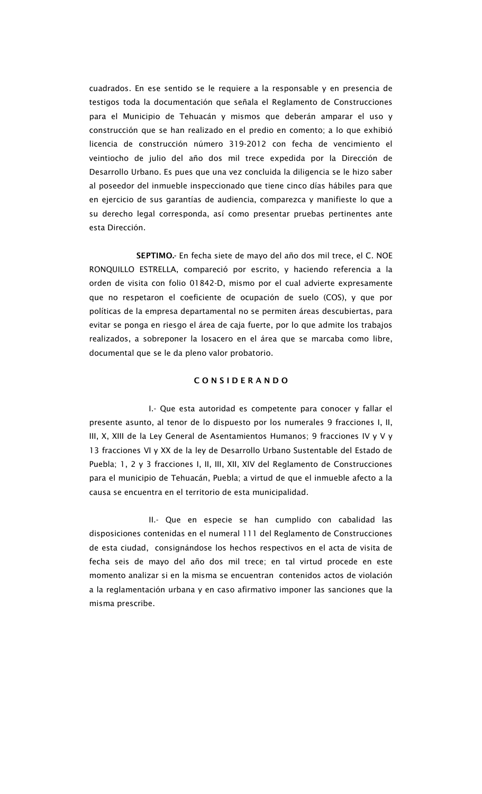cuadrados. En ese sentido se le requiere a la responsable y en presencia de testigos toda la documentación que señala el Reglamento de Construcciones para el Municipio de Tehuacán y mismos que deberán amparar el uso y construcción que se han realizado en el predio en comento; a lo que exhibió licencia de construcción número 319-2012 con fecha de vencimiento el veintiocho de julio del año dos mil trece expedida por la Dirección de Desarrollo Urbano. Es pues que una vez concluida la diligencia se le hizo saber al poseedor del inmueble inspeccionado que tiene cinco días hábiles para que en ejercicio de sus garantías de audiencia, comparezca y manifieste lo que a su derecho legal corresponda, así como presentar pruebas pertinentes ante esta Dirección.

 SEPTIMO.- En fecha siete de mayo del año dos mil trece, el C. NOE RONQUILLO ESTRELLA, compareció por escrito, y haciendo referencia a la orden de visita con folio 01842-D, mismo por el cual advierte expresamente que no respetaron el coeficiente de ocupación de suelo (COS), y que por políticas de la empresa departamental no se permiten áreas descubiertas, para evitar se ponga en riesgo el área de caja fuerte, por lo que admite los trabajos realizados, a sobreponer la losacero en el área que se marcaba como libre, documental que se le da pleno valor probatorio.

### C O N S I D E R A N D O

 I.- Que esta autoridad es competente para conocer y fallar el presente asunto, al tenor de lo dispuesto por los numerales 9 fracciones I, II, III, X, XIII de la Ley General de Asentamientos Humanos; 9 fracciones IV y V y 13 fracciones VI y XX de la ley de Desarrollo Urbano Sustentable del Estado de Puebla; 1, 2 y 3 fracciones I, II, III, XII, XIV del Reglamento de Construcciones para el municipio de Tehuacán, Puebla; a virtud de que el inmueble afecto a la causa se encuentra en el territorio de esta municipalidad.

 II.- Que en especie se han cumplido con cabalidad las disposiciones contenidas en el numeral 111 del Reglamento de Construcciones de esta ciudad, consignándose los hechos respectivos en el acta de visita de fecha seis de mayo del año dos mil trece; en tal virtud procede en este momento analizar si en la misma se encuentran contenidos actos de violación a la reglamentación urbana y en caso afirmativo imponer las sanciones que la misma prescribe.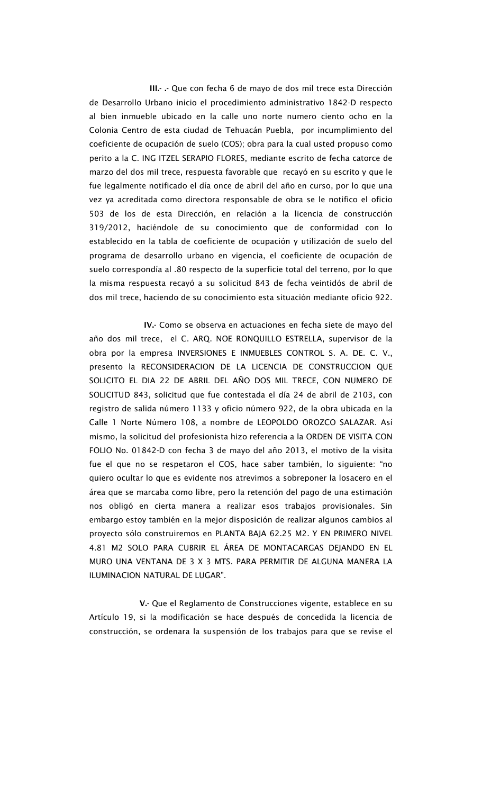III.- .- Que con fecha 6 de mayo de dos mil trece esta Dirección de Desarrollo Urbano inicio el procedimiento administrativo 1842-D respecto al bien inmueble ubicado en la calle uno norte numero ciento ocho en la Colonia Centro de esta ciudad de Tehuacán Puebla, por incumplimiento del coeficiente de ocupación de suelo (COS); obra para la cual usted propuso como perito a la C. ING ITZEL SERAPIO FLORES, mediante escrito de fecha catorce de marzo del dos mil trece, respuesta favorable que recayó en su escrito y que le fue legalmente notificado el día once de abril del año en curso, por lo que una vez ya acreditada como directora responsable de obra se le notifico el oficio 503 de los de esta Dirección, en relación a la licencia de construcción 319/2012, haciéndole de su conocimiento que de conformidad con lo establecido en la tabla de coeficiente de ocupación y utilización de suelo del programa de desarrollo urbano en vigencia, el coeficiente de ocupación de suelo correspondía al .80 respecto de la superficie total del terreno, por lo que la misma respuesta recayó a su solicitud 843 de fecha veintidós de abril de dos mil trece, haciendo de su conocimiento esta situación mediante oficio 922.

 IV.- Como se observa en actuaciones en fecha siete de mayo del año dos mil trece, el C. ARQ. NOE RONQUILLO ESTRELLA, supervisor de la obra por la empresa INVERSIONES E INMUEBLES CONTROL S. A. DE. C. V., presento la RECONSIDERACION DE LA LICENCIA DE CONSTRUCCION QUE SOLICITO EL DIA 22 DE ABRIL DEL AÑO DOS MIL TRECE, CON NUMERO DE SOLICITUD 843, solicitud que fue contestada el día 24 de abril de 2103, con registro de salida número 1133 y oficio número 922, de la obra ubicada en la Calle 1 Norte Número 108, a nombre de LEOPOLDO OROZCO SALAZAR. Así mismo, la solicitud del profesionista hizo referencia a la ORDEN DE VISITA CON FOLIO No. 01842-D con fecha 3 de mayo del año 2013, el motivo de la visita fue el que no se respetaron el COS, hace saber también, lo siguiente: "no quiero ocultar lo que es evidente nos atrevimos a sobreponer la losacero en el área que se marcaba como libre, pero la retención del pago de una estimación nos obligó en cierta manera a realizar esos trabajos provisionales. Sin embargo estoy también en la mejor disposición de realizar algunos cambios al proyecto sólo construiremos en PLANTA BAJA 62.25 M2. Y EN PRIMERO NIVEL 4.81 M2 SOLO PARA CUBRIR EL ÁREA DE MONTACARGAS DEJANDO EN EL MURO UNA VENTANA DE 3 X 3 MTS. PARA PERMITIR DE ALGUNA MANERA LA ILUMINACION NATURAL DE LUGAR".

 V.- Que el Reglamento de Construcciones vigente, establece en su Artículo 19, si la modificación se hace después de concedida la licencia de construcción, se ordenara la suspensión de los trabajos para que se revise el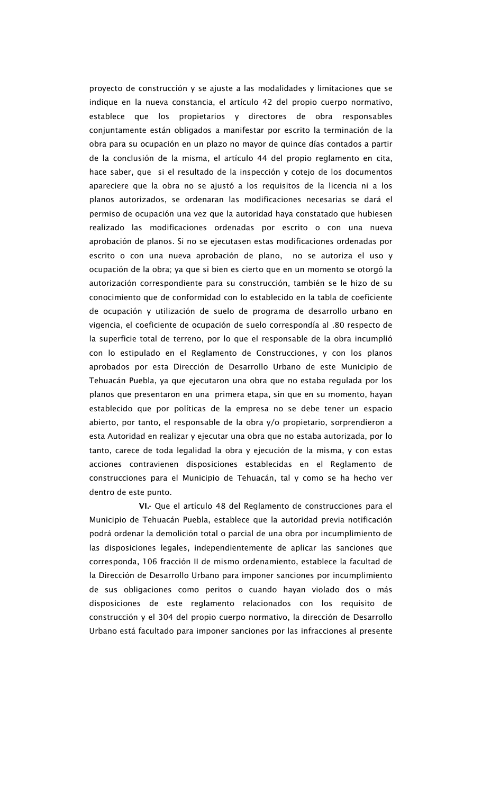proyecto de construcción y se ajuste a las modalidades y limitaciones que se indique en la nueva constancia, el artículo 42 del propio cuerpo normativo, establece que los propietarios y directores de obra responsables conjuntamente están obligados a manifestar por escrito la terminación de la obra para su ocupación en un plazo no mayor de quince días contados a partir de la conclusión de la misma, el artículo 44 del propio reglamento en cita, hace saber, que si el resultado de la inspección y cotejo de los documentos apareciere que la obra no se ajustó a los requisitos de la licencia ni a los planos autorizados, se ordenaran las modificaciones necesarias se dará el permiso de ocupación una vez que la autoridad haya constatado que hubiesen realizado las modificaciones ordenadas por escrito o con una nueva aprobación de planos. Si no se ejecutasen estas modificaciones ordenadas por escrito o con una nueva aprobación de plano, no se autoriza el uso y ocupación de la obra; ya que si bien es cierto que en un momento se otorgó la autorización correspondiente para su construcción, también se le hizo de su conocimiento que de conformidad con lo establecido en la tabla de coeficiente de ocupación y utilización de suelo de programa de desarrollo urbano en vigencia, el coeficiente de ocupación de suelo correspondía al .80 respecto de la superficie total de terreno, por lo que el responsable de la obra incumplió con lo estipulado en el Reglamento de Construcciones, y con los planos aprobados por esta Dirección de Desarrollo Urbano de este Municipio de Tehuacán Puebla, ya que ejecutaron una obra que no estaba regulada por los planos que presentaron en una primera etapa, sin que en su momento, hayan establecido que por políticas de la empresa no se debe tener un espacio abierto, por tanto, el responsable de la obra y/o propietario, sorprendieron a esta Autoridad en realizar y ejecutar una obra que no estaba autorizada, por lo tanto, carece de toda legalidad la obra y ejecución de la misma, y con estas acciones contravienen disposiciones establecidas en el Reglamento de construcciones para el Municipio de Tehuacán, tal y como se ha hecho ver dentro de este punto.

 VI.- Que el artículo 48 del Reglamento de construcciones para el Municipio de Tehuacán Puebla, establece que la autoridad previa notificación podrá ordenar la demolición total o parcial de una obra por incumplimiento de las disposiciones legales, independientemente de aplicar las sanciones que corresponda, 106 fracción II de mismo ordenamiento, establece la facultad de la Dirección de Desarrollo Urbano para imponer sanciones por incumplimiento de sus obligaciones como peritos o cuando hayan violado dos o más disposiciones de este reglamento relacionados con los requisito de construcción y el 304 del propio cuerpo normativo, la dirección de Desarrollo Urbano está facultado para imponer sanciones por las infracciones al presente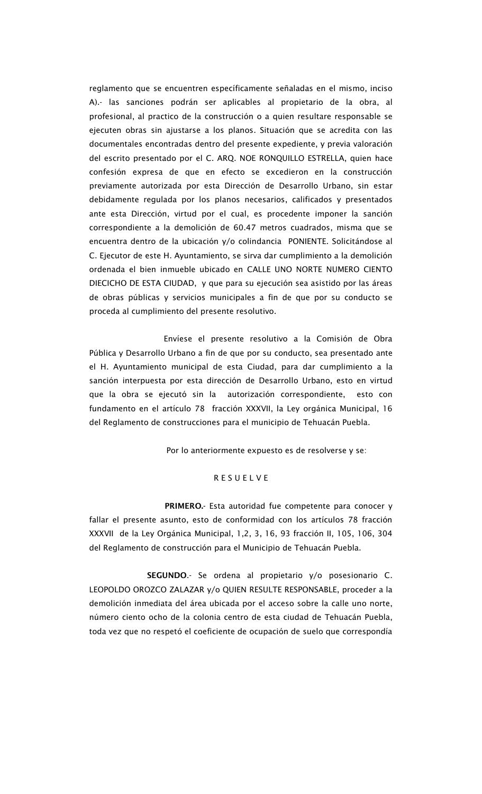reglamento que se encuentren específicamente señaladas en el mismo, inciso A).- las sanciones podrán ser aplicables al propietario de la obra, al profesional, al practico de la construcción o a quien resultare responsable se ejecuten obras sin ajustarse a los planos. Situación que se acredita con las documentales encontradas dentro del presente expediente, y previa valoración del escrito presentado por el C. ARQ. NOE RONQUILLO ESTRELLA, quien hace confesión expresa de que en efecto se excedieron en la construcción previamente autorizada por esta Dirección de Desarrollo Urbano, sin estar debidamente regulada por los planos necesarios, calificados y presentados ante esta Dirección, virtud por el cual, es procedente imponer la sanción correspondiente a la demolición de 60.47 metros cuadrados, misma que se encuentra dentro de la ubicación y/o colindancia PONIENTE. Solicitándose al C. Ejecutor de este H. Ayuntamiento, se sirva dar cumplimiento a la demolición ordenada el bien inmueble ubicado en CALLE UNO NORTE NUMERO CIENTO DIECICHO DE ESTA CIUDAD, y que para su ejecución sea asistido por las áreas de obras públicas y servicios municipales a fin de que por su conducto se proceda al cumplimiento del presente resolutivo.

 Envíese el presente resolutivo a la Comisión de Obra Pública y Desarrollo Urbano a fin de que por su conducto, sea presentado ante el H. Ayuntamiento municipal de esta Ciudad, para dar cumplimiento a la sanción interpuesta por esta dirección de Desarrollo Urbano, esto en virtud que la obra se ejecutó sin la autorización correspondiente, esto con fundamento en el artículo 78 fracción XXXVII, la Ley orgánica Municipal, 16 del Reglamento de construcciones para el municipio de Tehuacán Puebla.

Por lo anteriormente expuesto es de resolverse y se:

#### R E S U E L V E

 PRIMERO.- Esta autoridad fue competente para conocer y fallar el presente asunto, esto de conformidad con los artículos 78 fracción XXXVII de la Ley Orgánica Municipal, 1,2, 3, 16, 93 fracción II, 105, 106, 304 del Reglamento de construcción para el Municipio de Tehuacán Puebla.

 SEGUNDO.- Se ordena al propietario y/o posesionario C. LEOPOLDO OROZCO ZALAZAR y/o QUIEN RESULTE RESPONSABLE, proceder a la demolición inmediata del área ubicada por el acceso sobre la calle uno norte, número ciento ocho de la colonia centro de esta ciudad de Tehuacán Puebla, toda vez que no respetó el coeficiente de ocupación de suelo que correspondía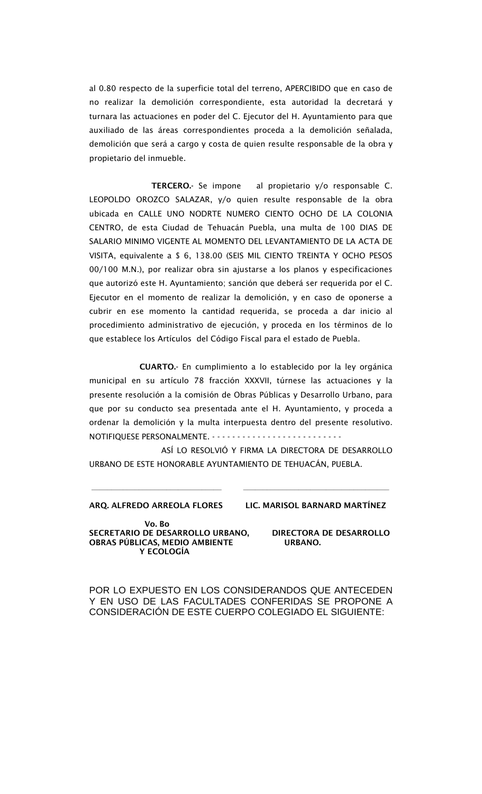al 0.80 respecto de la superficie total del terreno, APERCIBIDO que en caso de no realizar la demolición correspondiente, esta autoridad la decretará y turnara las actuaciones en poder del C. Ejecutor del H. Ayuntamiento para que auxiliado de las áreas correspondientes proceda a la demolición señalada, demolición que será a cargo y costa de quien resulte responsable de la obra y propietario del inmueble.

 TERCERO.- Se impone al propietario y/o responsable C. LEOPOLDO OROZCO SALAZAR, y/o quien resulte responsable de la obra ubicada en CALLE UNO NODRTE NUMERO CIENTO OCHO DE LA COLONIA CENTRO, de esta Ciudad de Tehuacán Puebla, una multa de 100 DIAS DE SALARIO MINIMO VIGENTE AL MOMENTO DEL LEVANTAMIENTO DE LA ACTA DE VISITA, equivalente a \$ 6, 138.00 (SEIS MIL CIENTO TREINTA Y OCHO PESOS 00/100 M.N.), por realizar obra sin ajustarse a los planos y especificaciones que autorizó este H. Ayuntamiento; sanción que deberá ser requerida por el C. Ejecutor en el momento de realizar la demolición, y en caso de oponerse a cubrir en ese momento la cantidad requerida, se proceda a dar inicio al procedimiento administrativo de ejecución, y proceda en los términos de lo que establece los Artículos del Código Fiscal para el estado de Puebla.

 CUARTO.- En cumplimiento a lo establecido por la ley orgánica municipal en su artículo 78 fracción XXXVII, túrnese las actuaciones y la presente resolución a la comisión de Obras Públicas y Desarrollo Urbano, para que por su conducto sea presentada ante el H. Ayuntamiento, y proceda a ordenar la demolición y la multa interpuesta dentro del presente resolutivo. NOTIFIQUESE PERSONALMENTE. - - - - - - - - - - - - - - - - - - - - - - - - - -

 ASÍ LO RESOLVIÓ Y FIRMA LA DIRECTORA DE DESARROLLO URBANO DE ESTE HONORABLE AYUNTAMIENTO DE TEHUACÁN, PUEBLA.

**\_\_\_\_\_\_\_\_\_\_\_\_\_\_\_\_\_\_\_\_\_\_\_\_\_\_\_\_\_\_\_\_\_ \_\_\_\_\_\_\_\_\_\_\_\_\_\_\_\_\_\_\_\_\_\_\_\_\_\_\_\_\_\_\_\_\_\_\_\_\_**

ARQ. ALFREDO ARREOLA FLORES LIC. MARISOL BARNARD MARTÍNEZ

 Vo. Bo SECRETARIO DE DESARROLLO URBANO, DIRECTORA DE DESARROLLO OBRAS PÚBLICAS, MEDIO AMBIENTE URBANO. Y ECOLOGÍA

POR LO EXPUESTO EN LOS CONSIDERANDOS QUE ANTECEDEN Y EN USO DE LAS FACULTADES CONFERIDAS SE PROPONE A CONSIDERACIÓN DE ESTE CUERPO COLEGIADO EL SIGUIENTE: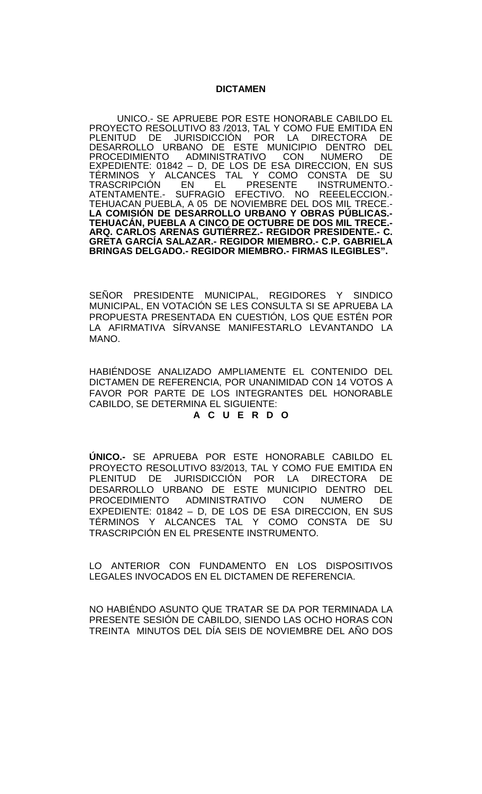### **DICTAMEN**

UNICO.- SE APRUEBE POR ESTE HONORABLE CABILDO EL PROYECTO RESOLUTIVO 83 /2013, TAL Y COMO FUE EMITIDA EN<br>PLENITUD DE JURISDICCIÓN POR LA DIRECTORA DE PLENITUD DE JURISDICCIÓN POR LA DIRECTORA DE<br>DESARROLLO URBANO DE ESTE MUNICIPIO DENTRO DEL DESARROLLO URBANO DE ESTE MUNICIPIO DENTRO DEL<br>PROCEDIMIENTO ADMINISTRATIVO CON NUMERO DE ADMINISTRATIVO EXPEDIENTE: 01842 – D, DE LOS DE ESA DIRECCION, EN SUS<br>TÉRMINOS Y ALCANCES TAL Y COMO CONSTA DE SU TÉRMINOS Y ALCANCES TAL Y COMO CONSTA DE SU<br>TRASCRIPCIÓN EN EL PRESENTE INSTRUMENTO.-ATENTAMENTE.- SUFRAGIO EFECTIVO. NO REEELECCION.-<br>TEHUACAN PUEBLA, A 05 DE NOVIEMBRE DEL DOS MIL TRECE.-<br>LA COMISIÓN DE DESARROLLO URBANO Y OBRAS PÚBLICAS.-**LA COMISIÓN DE DESARROLLO URBANO Y OBRAS PÚBLICAS.- TEHUACÁN, PUEBLA A CINCO DE OCTUBRE DE DOS MIL TRECE.- ARQ. CARLOS ARENAS GUTIÉRREZ.- REGIDOR PRESIDENTE.- C. GRETA GARCÍA SALAZAR.- REGIDOR MIEMBRO.- C.P. GABRIELA BRINGAS DELGADO.- REGIDOR MIEMBRO.- FIRMAS ILEGIBLES".**

SEÑOR PRESIDENTE MUNICIPAL, REGIDORES Y SINDICO MUNICIPAL, EN VOTACIÓN SE LES CONSULTA SI SE APRUEBA LA PROPUESTA PRESENTADA EN CUESTIÓN, LOS QUE ESTÉN POR LA AFIRMATIVA SÍRVANSE MANIFESTARLO LEVANTANDO LA MANO.

HABIÉNDOSE ANALIZADO AMPLIAMENTE EL CONTENIDO DEL DICTAMEN DE REFERENCIA, POR UNANIMIDAD CON 14 VOTOS A FAVOR POR PARTE DE LOS INTEGRANTES DEL HONORABLE CABILDO, SE DETERMINA EL SIGUIENTE:

### **A C U E R D O**

**ÚNICO.-** SE APRUEBA POR ESTE HONORABLE CABILDO EL PROYECTO RESOLUTIVO 83/2013, TAL Y COMO FUE EMITIDA EN PLENITUD DE JURISDICCIÓN POR LA DIRECTORA DE DESARROLLO URBANO DE ESTE MUNICIPIO DENTRO DEL<br>PROCEDIMIENTO ADMINISTRATIVO CON NUMERO DE ADMINISTRATIVO CON NUMERO DE EXPEDIENTE: 01842 – D, DE LOS DE ESA DIRECCION, EN SUS TÉRMINOS Y ALCANCES TAL Y COMO CONSTA DE SU TRASCRIPCIÓN EN EL PRESENTE INSTRUMENTO.

LO ANTERIOR CON FUNDAMENTO EN LOS DISPOSITIVOS LEGALES INVOCADOS EN EL DICTAMEN DE REFERENCIA.

NO HABIÉNDO ASUNTO QUE TRATAR SE DA POR TERMINADA LA PRESENTE SESIÓN DE CABILDO, SIENDO LAS OCHO HORAS CON TREINTA MINUTOS DEL DÍA SEIS DE NOVIEMBRE DEL AÑO DOS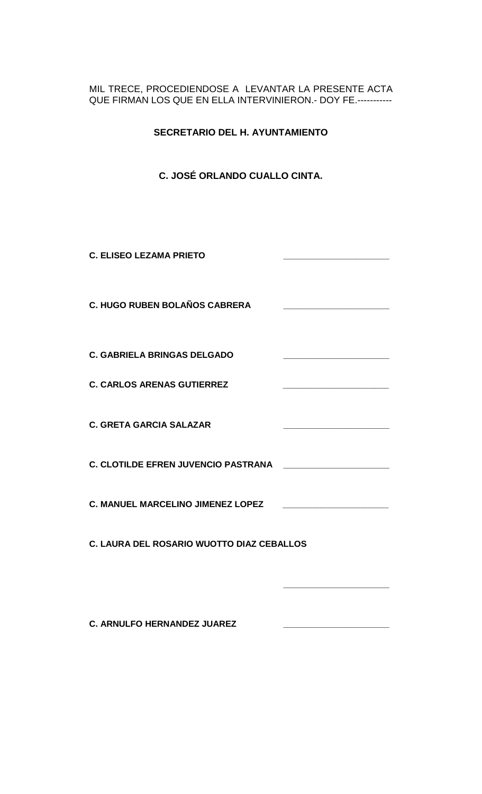# MIL TRECE, PROCEDIENDOSE A LEVANTAR LA PRESENTE ACTA QUE FIRMAN LOS QUE EN ELLA INTERVINIERON.- DOY FE.-----------

**SECRETARIO DEL H. AYUNTAMIENTO**

# **C. JOSÉ ORLANDO CUALLO CINTA.**

**C. ELISEO LEZAMA PRIETO \_\_\_\_\_\_\_\_\_\_\_\_\_\_\_\_\_\_\_\_\_\_ C. HUGO RUBEN BOLAÑOS CABRERA \_\_\_\_\_\_\_\_\_\_\_\_\_\_\_\_\_\_\_\_\_\_ C. GABRIELA BRINGAS DELGADO C. CARLOS ARENAS GUTIERREZ \_\_\_\_\_\_\_\_\_\_\_\_\_\_\_\_\_\_\_\_\_\_ C. GRETA GARCIA SALAZAR \_\_\_\_\_\_\_\_\_\_\_\_\_\_\_\_\_\_\_\_\_\_ C. CLOTILDE EFREN JUVENCIO PASTRANA \_\_\_\_\_\_\_\_\_\_\_\_\_\_\_\_\_\_\_\_\_\_ C. MANUEL MARCELINO JIMENEZ LOPEZ \_\_\_\_\_\_\_\_\_\_\_\_\_\_\_\_\_\_\_\_\_\_ C. LAURA DEL ROSARIO WUOTTO DIAZ CEBALLOS \_\_\_\_\_\_\_\_\_\_\_\_\_\_\_\_\_\_\_\_\_\_**

**C. ARNULFO HERNANDEZ JUAREZ \_\_\_\_\_\_\_\_\_\_\_\_\_\_\_\_\_\_\_\_\_\_**